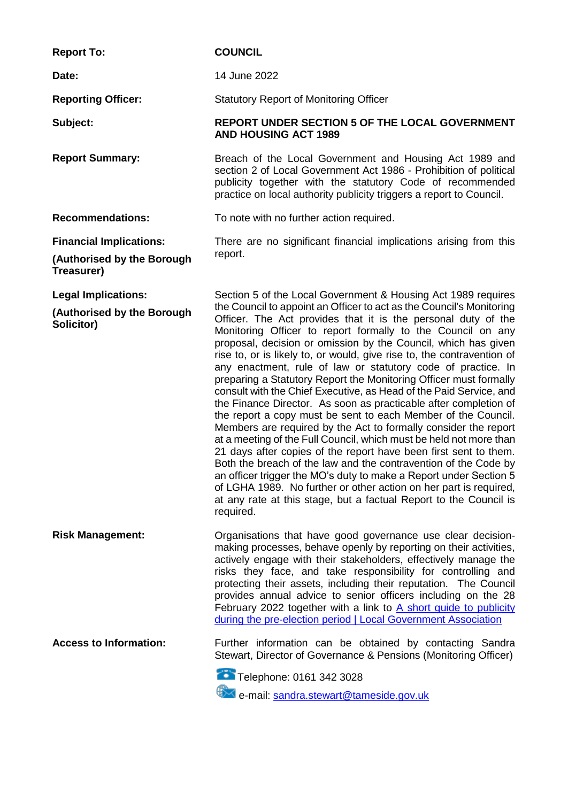| <b>Report To:</b>                                                          | <b>COUNCIL</b>                                                                                                                                                                                                                                                                                                                                                                                                                                                                                                                                                                                                                                                                                                                                                                                                                                                                                                                                                                                                                                                                                                                                                                                                                                                                |
|----------------------------------------------------------------------------|-------------------------------------------------------------------------------------------------------------------------------------------------------------------------------------------------------------------------------------------------------------------------------------------------------------------------------------------------------------------------------------------------------------------------------------------------------------------------------------------------------------------------------------------------------------------------------------------------------------------------------------------------------------------------------------------------------------------------------------------------------------------------------------------------------------------------------------------------------------------------------------------------------------------------------------------------------------------------------------------------------------------------------------------------------------------------------------------------------------------------------------------------------------------------------------------------------------------------------------------------------------------------------|
| Date:                                                                      | 14 June 2022                                                                                                                                                                                                                                                                                                                                                                                                                                                                                                                                                                                                                                                                                                                                                                                                                                                                                                                                                                                                                                                                                                                                                                                                                                                                  |
| <b>Reporting Officer:</b>                                                  | <b>Statutory Report of Monitoring Officer</b>                                                                                                                                                                                                                                                                                                                                                                                                                                                                                                                                                                                                                                                                                                                                                                                                                                                                                                                                                                                                                                                                                                                                                                                                                                 |
| Subject:                                                                   | <b>REPORT UNDER SECTION 5 OF THE LOCAL GOVERNMENT</b><br><b>AND HOUSING ACT 1989</b>                                                                                                                                                                                                                                                                                                                                                                                                                                                                                                                                                                                                                                                                                                                                                                                                                                                                                                                                                                                                                                                                                                                                                                                          |
| <b>Report Summary:</b>                                                     | Breach of the Local Government and Housing Act 1989 and<br>section 2 of Local Government Act 1986 - Prohibition of political<br>publicity together with the statutory Code of recommended<br>practice on local authority publicity triggers a report to Council.                                                                                                                                                                                                                                                                                                                                                                                                                                                                                                                                                                                                                                                                                                                                                                                                                                                                                                                                                                                                              |
| <b>Recommendations:</b>                                                    | To note with no further action required.                                                                                                                                                                                                                                                                                                                                                                                                                                                                                                                                                                                                                                                                                                                                                                                                                                                                                                                                                                                                                                                                                                                                                                                                                                      |
| <b>Financial Implications:</b><br>(Authorised by the Borough<br>Treasurer) | There are no significant financial implications arising from this<br>report.                                                                                                                                                                                                                                                                                                                                                                                                                                                                                                                                                                                                                                                                                                                                                                                                                                                                                                                                                                                                                                                                                                                                                                                                  |
| <b>Legal Implications:</b><br>(Authorised by the Borough<br>Solicitor)     | Section 5 of the Local Government & Housing Act 1989 requires<br>the Council to appoint an Officer to act as the Council's Monitoring<br>Officer. The Act provides that it is the personal duty of the<br>Monitoring Officer to report formally to the Council on any<br>proposal, decision or omission by the Council, which has given<br>rise to, or is likely to, or would, give rise to, the contravention of<br>any enactment, rule of law or statutory code of practice. In<br>preparing a Statutory Report the Monitoring Officer must formally<br>consult with the Chief Executive, as Head of the Paid Service, and<br>the Finance Director. As soon as practicable after completion of<br>the report a copy must be sent to each Member of the Council.<br>Members are required by the Act to formally consider the report<br>at a meeting of the Full Council, which must be held not more than<br>21 days after copies of the report have been first sent to them.<br>Both the breach of the law and the contravention of the Code by<br>an officer trigger the MO's duty to make a Report under Section 5<br>of LGHA 1989. No further or other action on her part is required,<br>at any rate at this stage, but a factual Report to the Council is<br>required. |
| <b>Risk Management:</b>                                                    | Organisations that have good governance use clear decision-<br>making processes, behave openly by reporting on their activities,<br>actively engage with their stakeholders, effectively manage the<br>risks they face, and take responsibility for controlling and<br>protecting their assets, including their reputation. The Council<br>provides annual advice to senior officers including on the 28<br>February 2022 together with a link to A short guide to publicity<br>during the pre-election period   Local Government Association                                                                                                                                                                                                                                                                                                                                                                                                                                                                                                                                                                                                                                                                                                                                 |
| <b>Access to Information:</b>                                              | Further information can be obtained by contacting Sandra<br>Stewart, Director of Governance & Pensions (Monitoring Officer)<br>Telephone: 0161 342 3028<br>e-mail: sandra.stewart@tameside.gov.uk                                                                                                                                                                                                                                                                                                                                                                                                                                                                                                                                                                                                                                                                                                                                                                                                                                                                                                                                                                                                                                                                             |